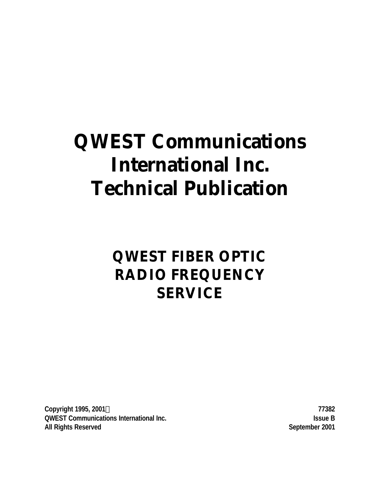# **QWEST Communications International Inc. Technical Publication**

# **QWEST FIBER OPTIC RADIO FREQUENCY SERVICE**

**Copyright 1995, 2001Ó 77382 QWEST Communications International Inc. Issue B All Rights Reserved September 2001**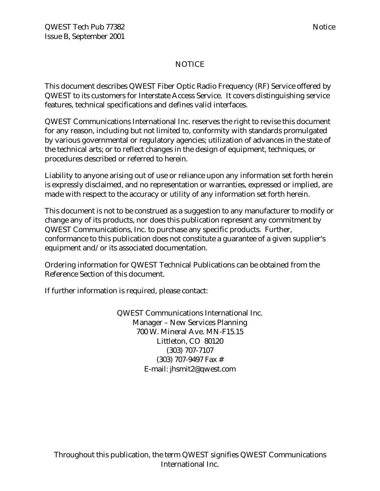# NOTICE

This document describes QWEST Fiber Optic Radio Frequency (RF) Service offered by QWEST to its customers for Interstate Access Service. It covers distinguishing service features, technical specifications and defines valid interfaces.

QWEST Communications International Inc. reserves the right to revise this document for any reason, including but not limited to, conformity with standards promulgated by various governmental or regulatory agencies; utilization of advances in the state of the technical arts; or to reflect changes in the design of equipment, techniques, or procedures described or referred to herein.

Liability to anyone arising out of use or reliance upon any information set forth herein is expressly disclaimed, and no representation or warranties, expressed or implied, are made with respect to the accuracy or utility of any information set forth herein.

This document is not to be construed as a suggestion to any manufacturer to modify or change any of its products, nor does this publication represent any commitment by QWEST Communications, Inc. to purchase any specific products. Further, conformance to this publication does not constitute a guarantee of a given supplier's equipment and/or its associated documentation.

Ordering information for QWEST Technical Publications can be obtained from the Reference Section of this document.

If further information is required, please contact:

QWEST Communications International Inc. Manager – New Services Planning 700 W. Mineral Ave. MN-F15.15 Littleton, CO 80120 (303) 707-7107 (303) 707-9497 Fax # E-mail: jhsmit2@qwest.com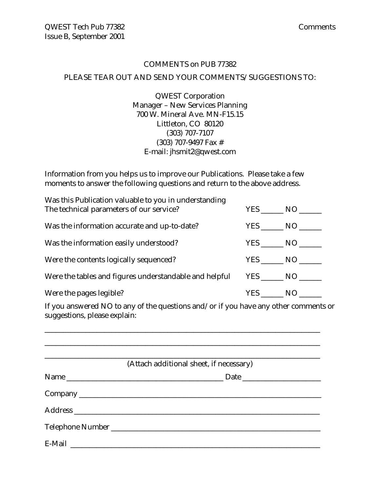# COMMENTS on PUB 77382 PLEASE TEAR OUT AND SEND YOUR COMMENTS/SUGGESTIONS TO:

QWEST Corporation Manager – New Services Planning 700 W. Mineral Ave. MN-F15.15 Littleton, CO 80120 (303) 707-7107 (303) 707-9497 Fax # E-mail: jhsmit2@qwest.com

Information from you helps us to improve our Publications. Please take a few moments to answer the following questions and return to the above address.

| Was this Publication valuable to you in understanding<br>The technical parameters of our service? | YES NO |
|---------------------------------------------------------------------------------------------------|--------|
| Was the information accurate and up-to-date?                                                      | YES NO |
| Was the information easily understood?                                                            | YES NO |
| Were the contents logically sequenced?                                                            | YES NO |
| Were the tables and figures understandable and helpful                                            |        |
| Were the pages legible?                                                                           | YES NO |

If you answered NO to any of the questions and/or if you have any other comments or suggestions, please explain:

\_\_\_\_\_\_\_\_\_\_\_\_\_\_\_\_\_\_\_\_\_\_\_\_\_\_\_\_\_\_\_\_\_\_\_\_\_\_\_\_\_\_\_\_\_\_\_\_\_\_\_\_\_\_\_\_\_\_\_\_\_\_\_\_\_\_\_\_\_\_\_\_\_\_

| (Attach additional sheet, if necessary) |
|-----------------------------------------|
|                                         |
|                                         |
|                                         |
|                                         |
|                                         |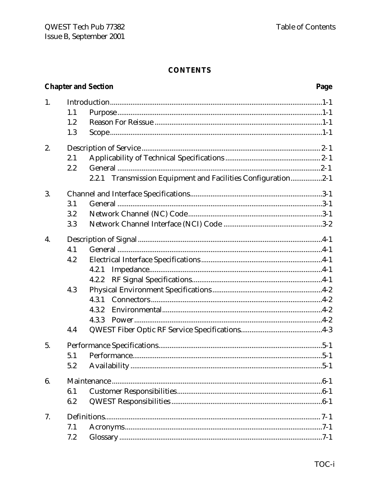# **CONTENTS**

|    |     | <b>Chapter and Section</b><br>Page                              |
|----|-----|-----------------------------------------------------------------|
| 1. |     |                                                                 |
|    | 1.1 |                                                                 |
|    | 1.2 |                                                                 |
|    | 1.3 |                                                                 |
| 2. |     |                                                                 |
|    | 2.1 |                                                                 |
|    | 2.2 |                                                                 |
|    |     | Transmission Equipment and Facilities Configuration2-1<br>2.2.1 |
| 3. |     |                                                                 |
|    | 3.1 |                                                                 |
|    | 3.2 |                                                                 |
|    | 3.3 |                                                                 |
| 4. |     |                                                                 |
|    | 4.1 |                                                                 |
|    | 4.2 |                                                                 |
|    |     | 4.2.1                                                           |
|    |     | 4.2.2                                                           |
|    | 4.3 |                                                                 |
|    |     | 4.3.1                                                           |
|    |     | 4.3.2                                                           |
|    |     | 4.3.3                                                           |
|    | 4.4 |                                                                 |
| 5. |     |                                                                 |
|    | 5.1 |                                                                 |
|    | 5.2 | $.5 - 1$                                                        |
| 6. |     |                                                                 |
|    | 6.1 |                                                                 |
|    | 6.2 |                                                                 |
| 7. |     |                                                                 |
|    | 7.1 |                                                                 |
|    | 7.2 |                                                                 |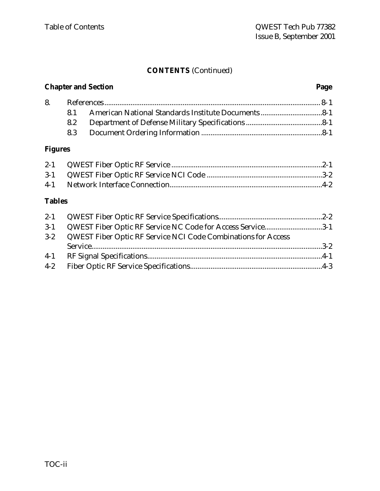# **CONTENTS** (Continued)

# **Chapter and Section Page**

# **Figures**

# **Tables**

| $3-1$   | QWEST Fiber Optic RF Service NC Code for Access Service3-1           |  |
|---------|----------------------------------------------------------------------|--|
| $3 - 2$ | <b>QWEST Fiber Optic RF Service NCI Code Combinations for Access</b> |  |
|         |                                                                      |  |
| $4-1$   |                                                                      |  |
| $4-2$   |                                                                      |  |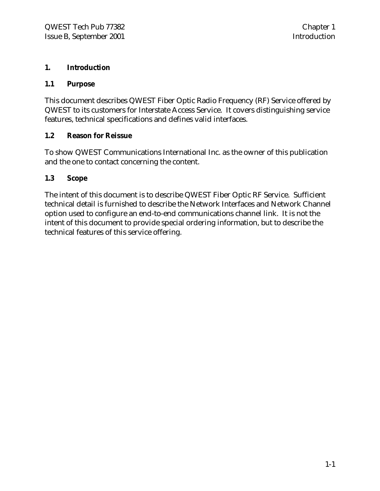#### **1. Introduction**

#### **1.1 Purpose**

This document describes QWEST Fiber Optic Radio Frequency (RF) Service offered by QWEST to its customers for Interstate Access Service. It covers distinguishing service features, technical specifications and defines valid interfaces.

#### **1.2 Reason for Reissue**

To show QWEST Communications International Inc. as the owner of this publication and the one to contact concerning the content.

#### **1.3 Scope**

The intent of this document is to describe QWEST Fiber Optic RF Service. Sufficient technical detail is furnished to describe the Network Interfaces and Network Channel option used to configure an end-to-end communications channel link. It is not the intent of this document to provide special ordering information, but to describe the technical features of this service offering.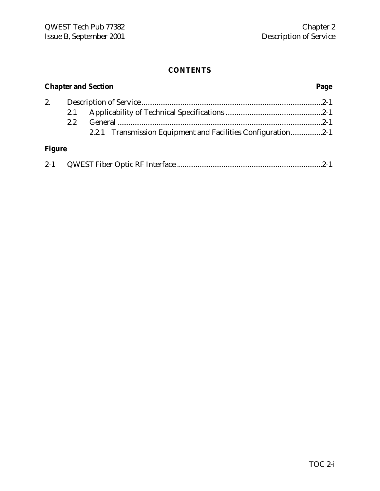#### **CONTENTS**

# **Chapter and Section Page** 2. Description of Service .................................................................................................2-1 2.1 Applicability of Technical Specifications ....................................................2-1 2.2 General ..............................................................................................................2-1 2.2.1 Transmission Equipment and Facilities Configuration.................2-1 **Figure**

| $2 - 1$ |  |  |
|---------|--|--|
|         |  |  |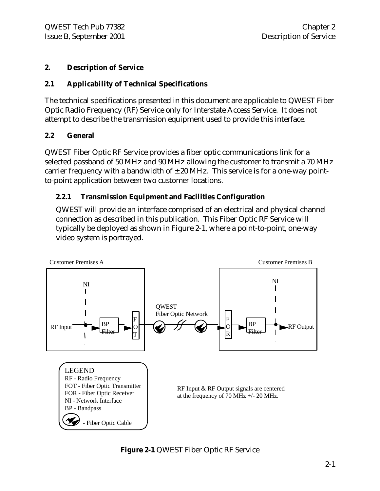# **2. Description of Service**

# **2.1 Applicability of Technical Specifications**

The technical specifications presented in this document are applicable to QWEST Fiber Optic Radio Frequency (RF) Service only for Interstate Access Service. It does not attempt to describe the transmission equipment used to provide this interface.

# **2.2 General**

QWEST Fiber Optic RF Service provides a fiber optic communications link for a selected passband of 50 MHz and 90 MHz allowing the customer to transmit a 70 MHz carrier frequency with a bandwidth of  $\pm 20$  MHz. This service is for a one-way pointto-point application between two customer locations.

# **2.2.1 Transmission Equipment and Facilities Configuration**

QWEST will provide an interface comprised of an electrical and physical channel connection as described in this publication. This Fiber Optic RF Service will typically be deployed as shown in Figure 2-1, where a point-to-point, one-way video system is portrayed.



**Figure 2-1** QWEST Fiber Optic RF Service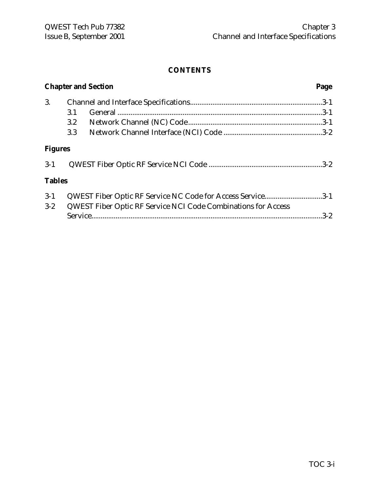# **CONTENTS**

|                |                  | <b>Chapter and Section</b>                                    | Page    |
|----------------|------------------|---------------------------------------------------------------|---------|
| 3.             |                  |                                                               |         |
|                | 3.1              |                                                               |         |
|                | $3.2\phantom{0}$ |                                                               |         |
|                | 3.3              |                                                               |         |
| <b>Figures</b> |                  |                                                               |         |
| $3-1$          |                  |                                                               |         |
| <b>Tables</b>  |                  |                                                               |         |
| $3 - 1$        |                  | QWEST Fiber Optic RF Service NC Code for Access Service3-1    |         |
| $3 - 2$        |                  | QWEST Fiber Optic RF Service NCI Code Combinations for Access | $3 - 2$ |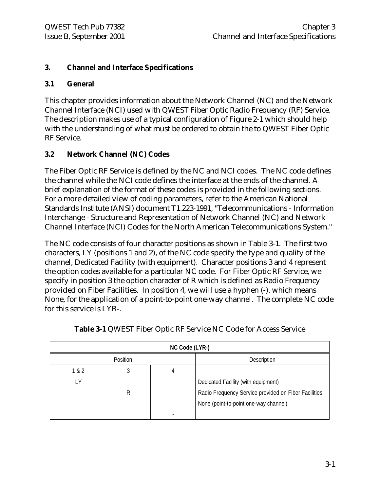# **3. Channel and Interface Specifications**

#### **3.1 General**

This chapter provides information about the Network Channel (NC) and the Network Channel Interface (NCI) used with QWEST Fiber Optic Radio Frequency (RF) Service. The description makes use of a typical configuration of Figure 2-1 which should help with the understanding of what must be ordered to obtain the to QWEST Fiber Optic RF Service.

# **3.2 Network Channel (NC) Codes**

The Fiber Optic RF Service is defined by the NC and NCI codes. The NC code defines the channel while the NCI code defines the interface at the ends of the channel. A brief explanation of the format of these codes is provided in the following sections. For a more detailed view of coding parameters, refer to the American National Standards Institute (ANSI) document T1.223-1991, "Telecommunications - Information Interchange - Structure and Representation of Network Channel (NC) and Network Channel Interface (NCI) Codes for the North American Telecommunications System."

The NC code consists of four character positions as shown in Table 3-1. The first two characters, LY (positions 1 and 2), of the NC code specify the type and quality of the channel, Dedicated Facility (with equipment). Character positions 3 and 4 represent the option codes available for a particular NC code. For Fiber Optic RF Service, we specify in position 3 the option character of R which is defined as Radio Frequency provided on Fiber Facilities. In position 4, we will use a hyphen (-), which means None, for the application of a point-to-point one-way channel. The complete NC code for this service is LYR-.

| NC Code (LYR-) |          |  |                                                                                                                                      |  |  |  |
|----------------|----------|--|--------------------------------------------------------------------------------------------------------------------------------------|--|--|--|
|                | Position |  | Description                                                                                                                          |  |  |  |
| 1 & 2          |          |  |                                                                                                                                      |  |  |  |
| ΙY             | R        |  | Dedicated Facility (with equipment)<br>Radio Frequency Service provided on Fiber Facilities<br>None (point-to-point one-way channel) |  |  |  |

|  | Table 3-1 QWEST Fiber Optic RF Service NC Code for Access Service |  |  |  |  |  |
|--|-------------------------------------------------------------------|--|--|--|--|--|
|  |                                                                   |  |  |  |  |  |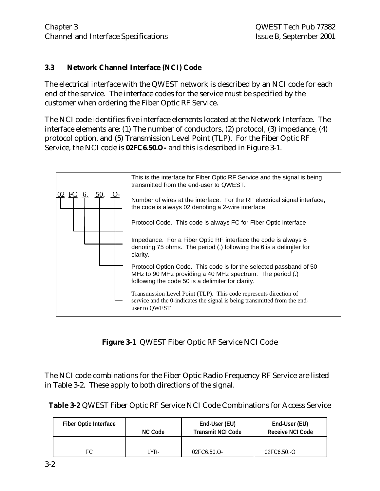#### **3.3 Network Channel Interface (NCI) Code**

The electrical interface with the QWEST network is described by an NCI code for each end of the service. The interface codes for the service must be specified by the customer when ordering the Fiber Optic RF Service.

The NCI code identifies five interface elements located at the Network Interface. The interface elements are: (1) The number of conductors, (2) protocol, (3) impedance, (4) protocol option, and (5) Transmission Level Point (TLP). For the Fiber Optic RF Service, the NCI code is **02FC6.50.O-** and this is described in Figure 3-1.



**Figure 3-1** QWEST Fiber Optic RF Service NCI Code

The NCI code combinations for the Fiber Optic Radio Frequency RF Service are listed in Table 3-2. These apply to both directions of the signal.

| <b>Fiber Optic Interface</b> |     | End-User (EU)            | End-User (EU)           |  |
|------------------------------|-----|--------------------------|-------------------------|--|
| <b>NC Code</b>               |     | <b>Transmit NCI Code</b> | <b>Receive NCI Code</b> |  |
| FС                           | YR- | 02FC6.50.O-              | 02FC6.50.-O             |  |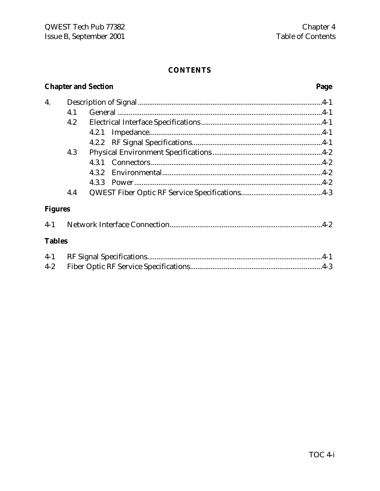#### **CONTENTS**

# **Chapter and Section**

# Page

| 4.             |     |       |  |  |
|----------------|-----|-------|--|--|
|                | 4.1 |       |  |  |
|                | 4.2 |       |  |  |
|                |     |       |  |  |
|                |     |       |  |  |
|                | 4.3 |       |  |  |
|                |     |       |  |  |
|                |     | 4.3.2 |  |  |
|                |     |       |  |  |
|                | 4.4 |       |  |  |
| <b>Figures</b> |     |       |  |  |
| $4-1$          |     |       |  |  |

#### **Tables**

| $4 - 2$ |  |
|---------|--|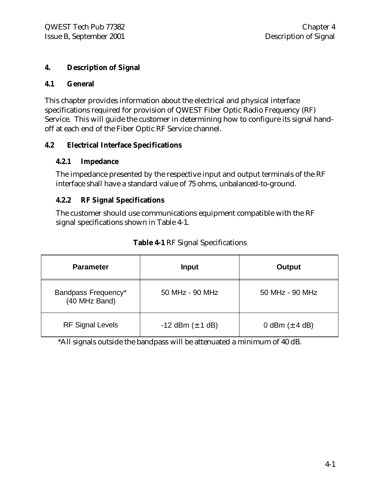# **4. Description of Signal**

#### **4.1 General**

This chapter provides information about the electrical and physical interface specifications required for provision of QWEST Fiber Optic Radio Frequency (RF) Service. This will guide the customer in determining how to configure its signal handoff at each end of the Fiber Optic RF Service channel.

#### **4.2 Electrical Interface Specifications**

#### **4.2.1 Impedance**

The impedance presented by the respective input and output terminals of the RF interface shall have a standard value of 75 ohms, unbalanced-to-ground.

#### **4.2.2 RF Signal Specifications**

The customer should use communications equipment compatible with the RF signal specifications shown in Table 4-1.

| <b>Parameter</b>                     | <b>Input</b>            | Output             |  |
|--------------------------------------|-------------------------|--------------------|--|
| Bandpass Frequency*<br>(40 MHz Band) | 50 MHz - 90 MHz         | 50 MHz - 90 MHz    |  |
| <b>RF Signal Levels</b>              | $-12$ dBm ( $\pm$ 1 dB) | 0 dBm $(\pm 4$ dB) |  |

**Table 4-1** RF Signal Specifications

\*All signals outside the bandpass will be attenuated a minimum of 40 dB.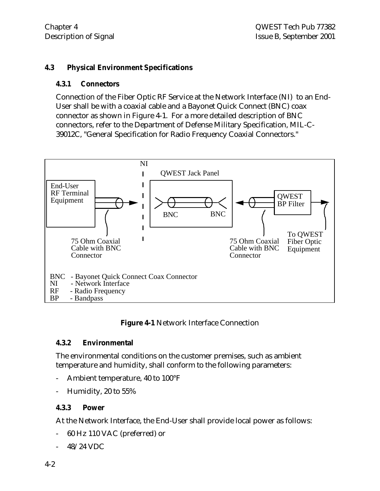#### **4.3 Physical Environment Specifications**

#### **4.3.1 Connectors**

Connection of the Fiber Optic RF Service at the Network Interface (NI) to an End-User shall be with a coaxial cable and a Bayonet Quick Connect (BNC) coax connector as shown in Figure 4-1. For a more detailed description of BNC connectors, refer to the Department of Defense Military Specification, MIL-C-39012C, "General Specification for Radio Frequency Coaxial Connectors."



#### **Figure 4-1** Network Interface Connection

#### **4.3.2 Environmental**

The environmental conditions on the customer premises, such as ambient temperature and humidity, shall conform to the following parameters:

- Ambient temperature, 40 to 100°F
- Humidity, 20 to 55%

# **4.3.3 Power**

At the Network Interface, the End-User shall provide local power as follows:

- 60 Hz 110 VAC (preferred) or
- 48/24 VDC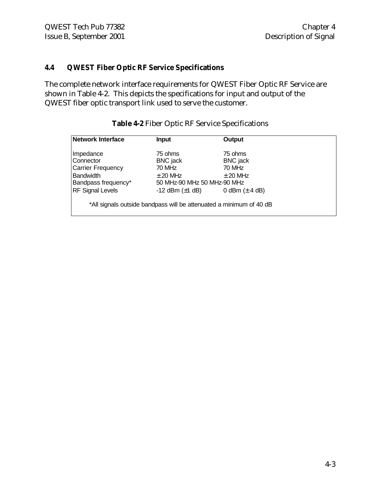#### **4.4 QWEST Fiber Optic RF Service Specifications**

The complete network interface requirements for QWEST Fiber Optic RF Service are shown in Table 4-2. This depicts the specifications for input and output of the QWEST fiber optic transport link used to serve the customer.

| <b>Network Interface</b> | <b>Input</b>                                                        | Output             |  |
|--------------------------|---------------------------------------------------------------------|--------------------|--|
| Impedance                | 75 ohms                                                             | 75 ohms            |  |
| Connector                | <b>BNC</b> jack                                                     | <b>BNC</b> jack    |  |
| <b>Carrier Frequency</b> | 70 MHz                                                              | 70 MHz             |  |
| <b>Bandwidth</b>         | $\pm$ 20 MHz                                                        | $\pm$ 20 MHz       |  |
| Bandpass frequency*      | 50 MHz-90 MHz 50 MHz-90 MHz                                         |                    |  |
| <b>RF Signal Levels</b>  | -12 dBm $(\pm 1$ dB)                                                | 0 dBm $(\pm 4$ dB) |  |
|                          | *All signals outside bandpass will be attenuated a minimum of 40 dB |                    |  |

#### **Table 4-2** Fiber Optic RF Service Specifications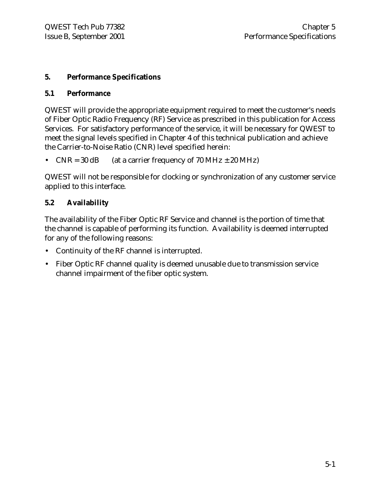#### **5. Performance Specifications**

#### **5.1 Performance**

QWEST will provide the appropriate equipment required to meet the customer's needs of Fiber Optic Radio Frequency (RF) Service as prescribed in this publication for Access Services. For satisfactory performance of the service, it will be necessary for QWEST to meet the signal levels specified in Chapter 4 of this technical publication and achieve the Carrier-to-Noise Ratio (CNR) level specified herein:

• CNR =  $30$  dB (at a carrier frequency of  $70$  MHz  $\pm$   $20$  MHz)

QWEST will not be responsible for clocking or synchronization of any customer service applied to this interface.

# **5.2 Availability**

The availability of the Fiber Optic RF Service and channel is the portion of time that the channel is capable of performing its function. Availability is deemed interrupted for any of the following reasons:

- Continuity of the RF channel is interrupted.
- Fiber Optic RF channel quality is deemed unusable due to transmission service channel impairment of the fiber optic system.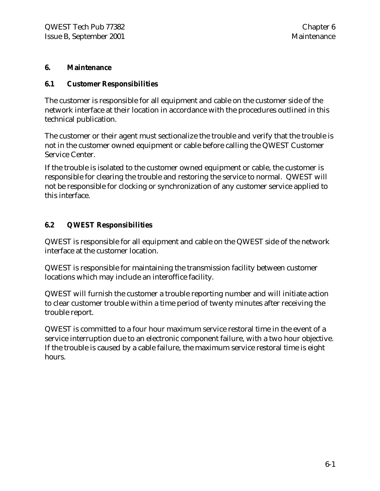#### **6. Maintenance**

#### **6.1 Customer Responsibilities**

The customer is responsible for all equipment and cable on the customer side of the network interface at their location in accordance with the procedures outlined in this technical publication.

The customer or their agent must sectionalize the trouble and verify that the trouble is not in the customer owned equipment or cable before calling the QWEST Customer Service Center.

If the trouble is isolated to the customer owned equipment or cable, the customer is responsible for clearing the trouble and restoring the service to normal. QWEST will not be responsible for clocking or synchronization of any customer service applied to this interface.

# **6.2 QWEST Responsibilities**

QWEST is responsible for all equipment and cable on the QWEST side of the network interface at the customer location.

QWEST is responsible for maintaining the transmission facility between customer locations which may include an interoffice facility.

QWEST will furnish the customer a trouble reporting number and will initiate action to clear customer trouble within a time period of twenty minutes after receiving the trouble report.

QWEST is committed to a four hour maximum service restoral time in the event of a service interruption due to an electronic component failure, with a two hour objective. If the trouble is caused by a cable failure, the maximum service restoral time is eight hours.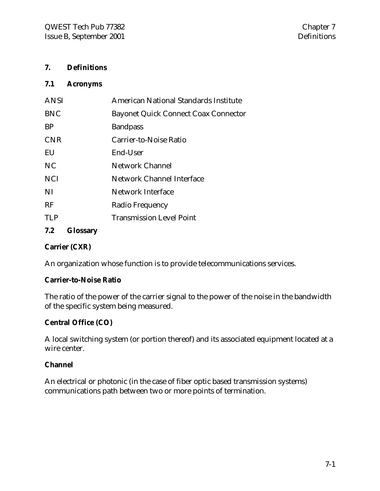#### **7. Definitions**

#### **7.1 Acronyms**

| <b>ANSI</b> | American National Standards Institute       |
|-------------|---------------------------------------------|
| <b>BNC</b>  | <b>Bayonet Quick Connect Coax Connector</b> |
| <b>BP</b>   | <b>Bandpass</b>                             |
| <b>CNR</b>  | Carrier-to-Noise Ratio                      |
| EU          | End-User                                    |
| NC.         | Network Channel                             |
| <b>NCI</b>  | Network Channel Interface                   |
| NI          | Network Interface                           |
| <b>RF</b>   | Radio Frequency                             |
| TI P        | <b>Transmission Level Point</b>             |
|             |                                             |

# **7.2 Glossary**

#### **Carrier (CXR)**

An organization whose function is to provide telecommunications services.

#### **Carrier-to-Noise Ratio**

The ratio of the power of the carrier signal to the power of the noise in the bandwidth of the specific system being measured.

#### **Central Office (CO)**

A local switching system (or portion thereof) and its associated equipment located at a wire center.

#### **Channel**

An electrical or photonic (in the case of fiber optic based transmission systems) communications path between two or more points of termination.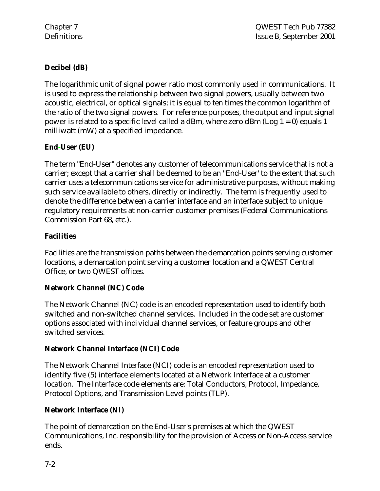# **Decibel (dB)**

The logarithmic unit of signal power ratio most commonly used in communications. It is used to express the relationship between two signal powers, usually between two acoustic, electrical, or optical signals; it is equal to ten times the common logarithm of the ratio of the two signal powers. For reference purposes, the output and input signal power is related to a specific level called a dBm, where zero dBm (Log  $1 = 0$ ) equals 1 milliwatt (mW) at a specified impedance.

# **End-User (EU)**

The term "End-User" denotes any customer of telecommunications service that is not a carrier; except that a carrier shall be deemed to be an "End-User' to the extent that such carrier uses a telecommunications service for administrative purposes, without making such service available to others, directly or indirectly. The term is frequently used to denote the difference between a carrier interface and an interface subject to unique regulatory requirements at non-carrier customer premises (Federal Communications Commission Part 68, etc.).

# **Facilities**

Facilities are the transmission paths between the demarcation points serving customer locations, a demarcation point serving a customer location and a QWEST Central Office, or two QWEST offices.

# **Network Channel (NC) Code**

The Network Channel (NC) code is an encoded representation used to identify both switched and non-switched channel services. Included in the code set are customer options associated with individual channel services, or feature groups and other switched services.

# **Network Channel Interface (NCI) Code**

The Network Channel Interface (NCI) code is an encoded representation used to identify five (5) interface elements located at a Network Interface at a customer location. The Interface code elements are: Total Conductors, Protocol, Impedance, Protocol Options, and Transmission Level points (TLP).

# **Network Interface (NI)**

The point of demarcation on the End-User's premises at which the QWEST Communications, Inc. responsibility for the provision of Access or Non-Access service ends.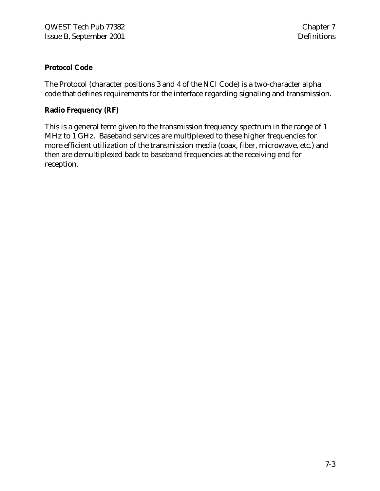# **Protocol Code**

The Protocol (character positions 3 and 4 of the NCI Code) is a two-character alpha code that defines requirements for the interface regarding signaling and transmission.

#### **Radio Frequency (RF)**

This is a general term given to the transmission frequency spectrum in the range of 1 MHz to 1 GHz. Baseband services are multiplexed to these higher frequencies for more efficient utilization of the transmission media (coax, fiber, microwave, etc.) and then are demultiplexed back to baseband frequencies at the receiving end for reception.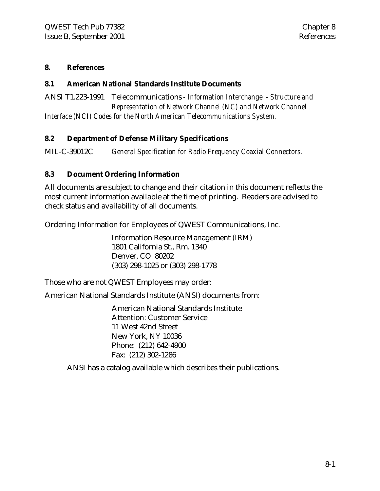#### **8. References**

#### **8.1 American National Standards Institute Documents**

ANSI T1.223-1991 Telecommunications *- Information Interchange - Structure and Representation of Network Channel (NC) and Network Channel Interface (NCI) Codes for the North American Telecommunications System.*

#### **8.2 Department of Defense Military Specifications**

MIL-C-39012C *General Specification for Radio Frequency Coaxial Connectors.*

#### **8.3 Document Ordering Information**

All documents are subject to change and their citation in this document reflects the most current information available at the time of printing. Readers are advised to check status and availability of all documents.

Ordering Information for Employees of QWEST Communications, Inc.

Information Resource Management (IRM) 1801 California St., Rm. 1340 Denver, CO 80202 (303) 298-1025 or (303) 298-1778

Those who are not QWEST Employees may order:

American National Standards Institute (ANSI) documents from:

American National Standards Institute Attention: Customer Service 11 West 42nd Street New York, NY 10036 Phone: (212) 642-4900 Fax: (212) 302-1286

ANSI has a catalog available which describes their publications.